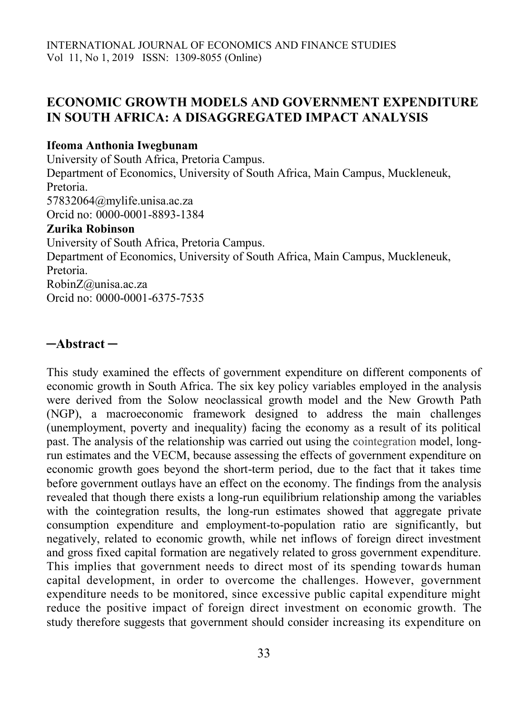# **ECONOMIC GROWTH MODELS AND GOVERNMENT EXPENDITURE IN SOUTH AFRICA: A DISAGGREGATED IMPACT ANALYSIS**

### **Ifeoma Anthonia Iwegbunam**

University of South Africa, Pretoria Campus. Department of Economics, University of South Africa, Main Campus, Muckleneuk, Pretoria. 57832064@mylife.unisa.ac.za Orcid no: 0000-0001-8893-1384 **Zurika Robinson** University of South Africa, Pretoria Campus. Department of Economics, University of South Africa, Main Campus, Muckleneuk, Pretoria. RobinZ@unisa.ac.za Orcid no: 0000-0001-6375-7535

# **─Abstract ─**

This study examined the effects of government expenditure on different components of economic growth in South Africa. The six key policy variables employed in the analysis were derived from the Solow neoclassical growth model and the New Growth Path (NGP), a macroeconomic framework designed to address the main challenges (unemployment, poverty and inequality) facing the economy as a result of its political past. The analysis of the relationship was carried out using the cointegration model, longrun estimates and the VECM, because assessing the effects of government expenditure on economic growth goes beyond the short-term period, due to the fact that it takes time before government outlays have an effect on the economy. The findings from the analysis revealed that though there exists a long-run equilibrium relationship among the variables with the cointegration results, the long-run estimates showed that aggregate private consumption expenditure and employment-to-population ratio are significantly, but negatively, related to economic growth, while net inflows of foreign direct investment and gross fixed capital formation are negatively related to gross government expenditure. This implies that government needs to direct most of its spending towards human capital development, in order to overcome the challenges. However, government expenditure needs to be monitored, since excessive public capital expenditure might reduce the positive impact of foreign direct investment on economic growth. The study therefore suggests that government should consider increasing its expenditure on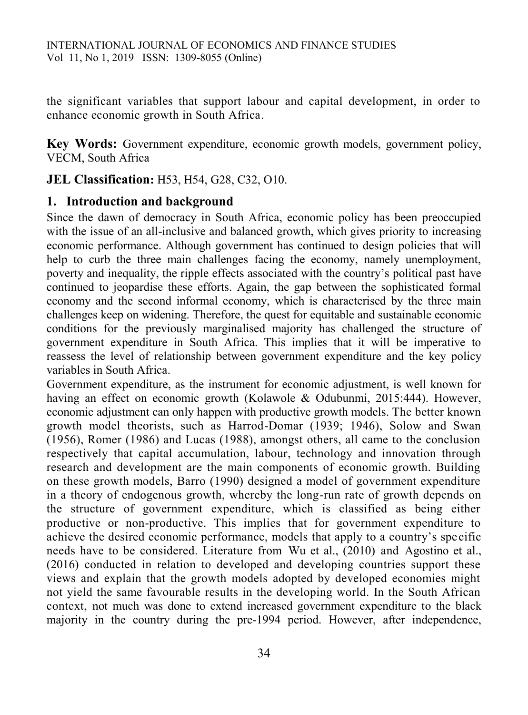the significant variables that support labour and capital development, in order to enhance economic growth in South Africa.

**Key Words:** Government expenditure, economic growth models, government policy, VECM, South Africa

**JEL Classification:** H53, H54, G28, C32, O10.

# **1. Introduction and background**

Since the dawn of democracy in South Africa, economic policy has been preoccupied with the issue of an all-inclusive and balanced growth, which gives priority to increasing economic performance. Although government has continued to design policies that will help to curb the three main challenges facing the economy, namely unemployment, poverty and inequality, the ripple effects associated with the country's political past have continued to jeopardise these efforts. Again, the gap between the sophisticated formal economy and the second informal economy, which is characterised by the three main challenges keep on widening. Therefore, the quest for equitable and sustainable economic conditions for the previously marginalised majority has challenged the structure of government expenditure in South Africa. This implies that it will be imperative to reassess the level of relationship between government expenditure and the key policy variables in South Africa.

Government expenditure, as the instrument for economic adjustment, is well known for having an effect on economic growth (Kolawole & Odubunmi, 2015:444). However, economic adjustment can only happen with productive growth models. The better known growth model theorists, such as Harrod-Domar (1939; 1946), Solow and Swan (1956), Romer (1986) and Lucas (1988), amongst others, all came to the conclusion respectively that capital accumulation, labour, technology and innovation through research and development are the main components of economic growth. Building on these growth models, Barro (1990) designed a model of government expenditure in a theory of endogenous growth, whereby the long-run rate of growth depends on the structure of government expenditure, which is classified as being either productive or non-productive. This implies that for government expenditure to achieve the desired economic performance, models that apply to a country's spe cific needs have to be considered. Literature from Wu et al., (2010) and Agostino et al., (2016) conducted in relation to developed and developing countries support these views and explain that the growth models adopted by developed economies might not yield the same favourable results in the developing world. In the South African context, not much was done to extend increased government expenditure to the black majority in the country during the pre-1994 period. However, after independence,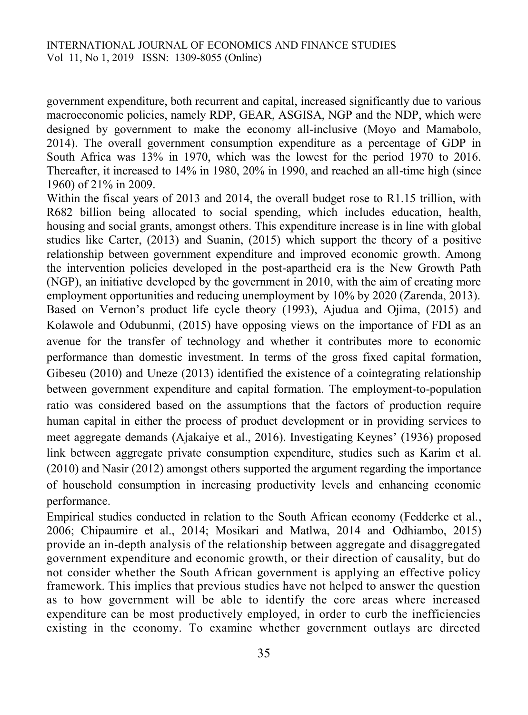government expenditure, both recurrent and capital, increased significantly due to various macroeconomic policies, namely RDP, GEAR, ASGISA, NGP and the NDP, which were designed by government to make the economy all-inclusive (Moyo and Mamabolo, 2014). The overall government consumption expenditure as a percentage of GDP in South Africa was 13% in 1970, which was the lowest for the period 1970 to 2016. Thereafter, it increased to 14% in 1980, 20% in 1990, and reached an all-time high (since 1960) of 21% in 2009.

Within the fiscal years of 2013 and 2014, the overall budget rose to R1.15 trillion, with R682 billion being allocated to social spending, which includes education, health, housing and social grants, amongst others. This expenditure increase is in line with global studies like Carter, (2013) and Suanin, (2015) which support the theory of a positive relationship between government expenditure and improved economic growth. Among the intervention policies developed in the post-apartheid era is the New Growth Path (NGP), an initiative developed by the government in 2010, with the aim of creating more employment opportunities and reducing unemployment by 10% by 2020 (Zarenda, 2013). Based on Vernon's product life cycle theory (1993), Ajudua and Ojima, (2015) and Kolawole and Odubunmi, (2015) have opposing views on the importance of FDI as an avenue for the transfer of technology and whether it contributes more to economic performance than domestic investment. In terms of the gross fixed capital formation, Gibeseu (2010) and Uneze (2013) identified the existence of a cointegrating relationship between government expenditure and capital formation. The employment-to-population ratio was considered based on the assumptions that the factors of production require human capital in either the process of product development or in providing services to meet aggregate demands (Ajakaiye et al., 2016). Investigating Keynes' (1936) proposed link between aggregate private consumption expenditure, studies such as Karim et al. (2010) and Nasir (2012) amongst others supported the argument regarding the importance of household consumption in increasing productivity levels and enhancing economic performance.

Empirical studies conducted in relation to the South African economy (Fedderke et al., 2006; Chipaumire et al., 2014; Mosikari and Matlwa, 2014 and Odhiambo, 2015) provide an in-depth analysis of the relationship between aggregate and disaggregated government expenditure and economic growth, or their direction of causality, but do not consider whether the South African government is applying an effective policy framework. This implies that previous studies have not helped to answer the question as to how government will be able to identify the core areas where increased expenditure can be most productively employed, in order to curb the inefficiencies existing in the economy. To examine whether government outlays are directed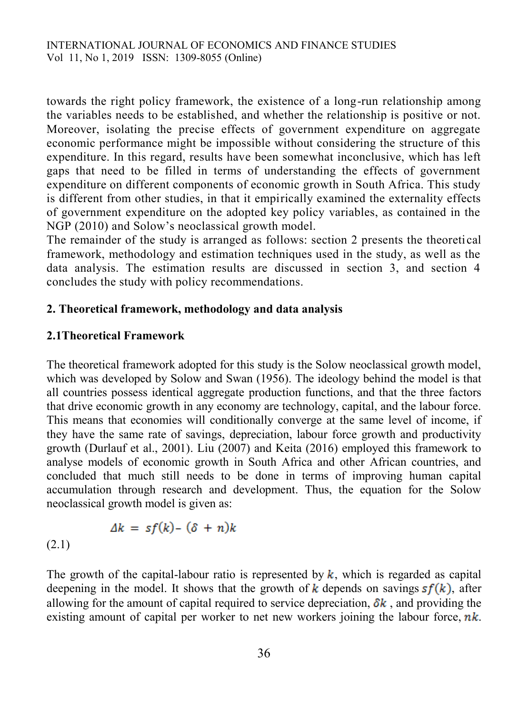towards the right policy framework, the existence of a long-run relationship among the variables needs to be established, and whether the relationship is positive or not. Moreover, isolating the precise effects of government expenditure on aggregate economic performance might be impossible without considering the structure of this expenditure. In this regard, results have been somewhat inconclusive, which has left gaps that need to be filled in terms of understanding the effects of government expenditure on different components of economic growth in South Africa. This study is different from other studies, in that it empirically examined the externality effects of government expenditure on the adopted key policy variables, as contained in the NGP (2010) and Solow's neoclassical growth model.

The remainder of the study is arranged as follows: section 2 presents the theoreti cal framework, methodology and estimation techniques used in the study, as well as the data analysis. The estimation results are discussed in section 3, and section 4 concludes the study with policy recommendations.

### **2. Theoretical framework, methodology and data analysis**

### **2.1Theoretical Framework**

(2.1)

The theoretical framework adopted for this study is the Solow neoclassical growth model, which was developed by Solow and Swan (1956). The ideology behind the model is that all countries possess identical aggregate production functions, and that the three factors that drive economic growth in any economy are technology, capital, and the labour force. This means that economies will conditionally converge at the same level of income, if they have the same rate of savings, depreciation, labour force growth and productivity growth (Durlauf et al., 2001). Liu (2007) and Keita (2016) employed this framework to analyse models of economic growth in South Africa and other African countries, and concluded that much still needs to be done in terms of improving human capital accumulation through research and development. Thus, the equation for the Solow neoclassical growth model is given as:

$$
\Delta k = sf(k) - (\delta + n)k
$$

The growth of the capital-labour ratio is represented by  $k$ , which is regarded as capital deepening in the model. It shows that the growth of k depends on savings  $sf(k)$ , after allowing for the amount of capital required to service depreciation,  $\delta k$ , and providing the existing amount of capital per worker to net new workers joining the labour force,  $nk$ .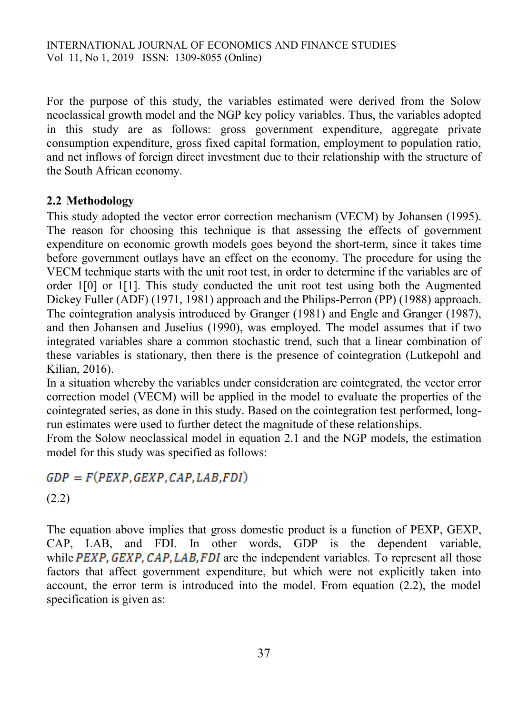For the purpose of this study, the variables estimated were derived from the Solow neoclassical growth model and the NGP key policy variables. Thus, the variables adopted in this study are as follows: gross government expenditure, aggregate private consumption expenditure, gross fixed capital formation, employment to population ratio, and net inflows of foreign direct investment due to their relationship with the structure of the South African economy.

# **2.2 Methodology**

This study adopted the vector error correction mechanism (VECM) by Johansen (1995). The reason for choosing this technique is that assessing the effects of government expenditure on economic growth models goes beyond the short-term, since it takes time before government outlays have an effect on the economy. The procedure for using the VECM technique starts with the unit root test, in order to determine if the variables are of order 1[0] or 1[1]. This study conducted the unit root test using both the Augmented Dickey Fuller (ADF) (1971, 1981) approach and the Philips-Perron (PP) (1988) approach. The cointegration analysis introduced by Granger (1981) and Engle and Granger (1987), and then Johansen and Juselius (1990), was employed. The model assumes that if two integrated variables share a common stochastic trend, such that a linear combination of these variables is stationary, then there is the presence of cointegration (Lutkepohl and Kilian, 2016).

In a situation whereby the variables under consideration are cointegrated, the vector error correction model (VECM) will be applied in the model to evaluate the properties of the cointegrated series, as done in this study. Based on the cointegration test performed, longrun estimates were used to further detect the magnitude of these relationships.

From the Solow neoclassical model in equation 2.1 and the NGP models, the estimation model for this study was specified as follows:

# $GDP = F(PEXP, GEXP, CAP, LAB, FDI)$

(2.2)

The equation above implies that gross domestic product is a function of PEXP, GEXP, CAP, LAB, and FDI. In other words, GDP is the dependent variable, while  $PEXP$ ,  $GEXP$ ,  $CAP$ ,  $LAB$ ,  $FDI$  are the independent variables. To represent all those factors that affect government expenditure, but which were not explicitly taken into account, the error term is introduced into the model. From equation (2.2), the model specification is given as: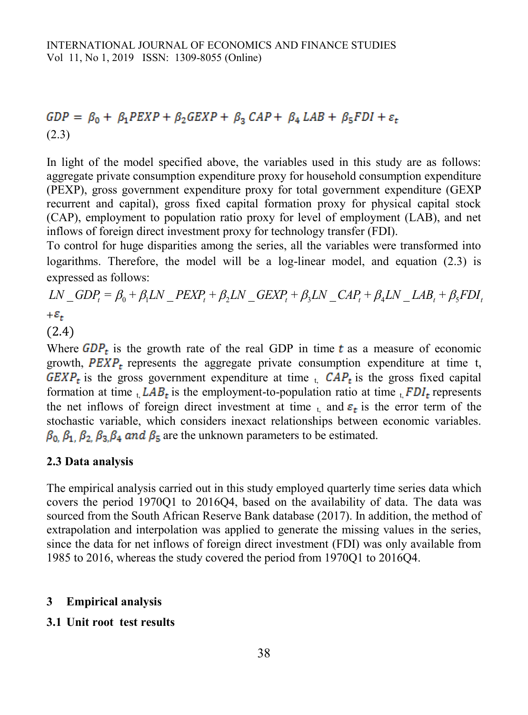# $GDP = \beta_0 + \beta_1 PEXP + \beta_2 GEXP + \beta_3 CAP + \beta_4 LAB + \beta_5 FDI + \varepsilon_t$ (2.3)

In light of the model specified above, the variables used in this study are as follows: aggregate private consumption expenditure proxy for household consumption expenditure (PEXP), gross government expenditure proxy for total government expenditure (GEXP recurrent and capital), gross fixed capital formation proxy for physical capital stock (CAP), employment to population ratio proxy for level of employment (LAB), and net inflows of foreign direct investment proxy for technology transfer (FDI).

To control for huge disparities among the series, all the variables were transformed into logarithms. Therefore, the model will be a log-linear model, and equation (2.3) is expressed as follows:

 $LN$  *GDP*<sub>t</sub> =  $\beta_0$  +  $\beta_1LN$  *PEXP*<sub>t</sub> +  $\beta_2LN$  *GEXP*<sub>t</sub> +  $\beta_3LN$  *CAP*<sub>t</sub> +  $\beta_4LN$  *LAB*<sub>t</sub> +  $\beta_5FDI$ ,  $+\mathcal{E}_t$ (2.4)

Where  $GDP<sub>t</sub>$  is the growth rate of the real GDP in time t as a measure of economic growth,  $PEXP<sub>r</sub>$  represents the aggregate private consumption expenditure at time t,  $GEXP<sub>t</sub>$  is the gross government expenditure at time  $I<sub>t</sub>$ .  $CAP<sub>t</sub>$  is the gross fixed capital formation at time  $_{t}$ ,  $LAB_{t}$  is the employment-to-population ratio at time  $_{t}$ ,  $FDI_{t}$  represents the net inflows of foreign direct investment at time  $_{t_i}$  and  $\varepsilon_t$  is the error term of the stochastic variable, which considers inexact relationships between economic variables.  $\beta_0$ ,  $\beta_1$ ,  $\beta_2$ ,  $\beta_3$ ,  $\beta_4$  and  $\beta_5$  are the unknown parameters to be estimated.

### **2.3 Data analysis**

The empirical analysis carried out in this study employed quarterly time series data which covers the period 1970Q1 to 2016Q4, based on the availability of data. The data was sourced from the South African Reserve Bank database (2017). In addition, the method of extrapolation and interpolation was applied to generate the missing values in the series, since the data for net inflows of foreign direct investment (FDI) was only available from 1985 to 2016, whereas the study covered the period from 1970Q1 to 2016Q4.

### **3 Empirical analysis**

### **3.1 Unit root test results**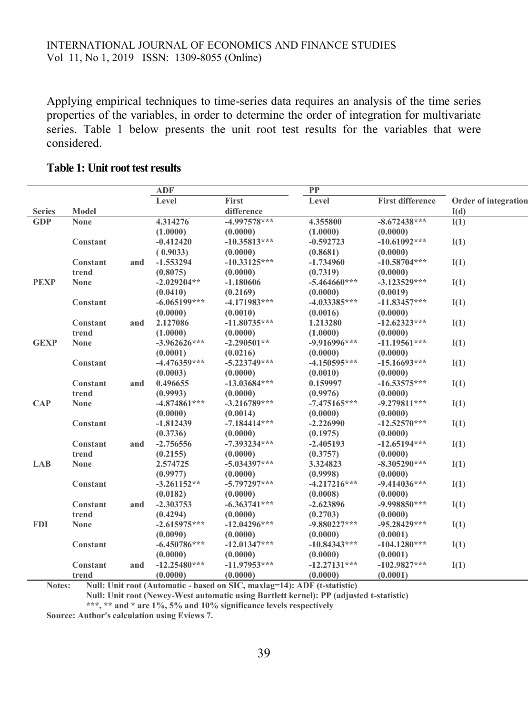Applying empirical techniques to time-series data requires an analysis of the time series properties of the variables, in order to determine the order of integration for multivariate series. Table 1 below presents the unit root test results for the variables that were considered.

|               |             |     | <b>ADF</b>     |                | <b>PP</b>      |                         |                      |
|---------------|-------------|-----|----------------|----------------|----------------|-------------------------|----------------------|
|               |             |     | Level          | <b>First</b>   | Level          | <b>First difference</b> | Order of integration |
| <b>Series</b> | Model       |     |                | difference     |                |                         | I(d)                 |
| <b>GDP</b>    | <b>None</b> |     | 4.314276       | $-4.997578***$ | 4.355800       | $-8.672438***$          | I(1)                 |
|               |             |     | (1.0000)       | (0.0000)       | (1.0000)       | (0.0000)                |                      |
|               | Constant    |     | $-0.412420$    | $-10.35813***$ | $-0.592723$    | $-10.61092***$          | I(1)                 |
|               |             |     | (0.9033)       | (0.0000)       | (0.8681)       | (0.0000)                |                      |
|               | Constant    | and | $-1.553294$    | $-10.33125***$ | $-1.734960$    | $-10.58704***$          | I(1)                 |
|               | trend       |     | (0.8075)       | (0.0000)       | (0.7319)       | (0.0000)                |                      |
| <b>PEXP</b>   | <b>None</b> |     | $-2.029204**$  | $-1.180606$    | $-5.464660***$ | $-3.123529***$          | I(1)                 |
|               |             |     | (0.0410)       | (0.2169)       | (0.0000)       | (0.0019)                |                      |
|               | Constant    |     | $-6.065199***$ | $-4.171983***$ | $-4.033385***$ | $-11.83457***$          | I(1)                 |
|               |             |     | (0.0000)       | (0.0010)       | (0.0016)       | (0.0000)                |                      |
|               | Constant    | and | 2.127086       | $-11.80735***$ | 1.213280       | $-12.62323***$          | I(1)                 |
|               | trend       |     | (1.0000)       | (0.0000)       | (1.0000)       | (0.0000)                |                      |
| <b>GEXP</b>   | <b>None</b> |     | $-3.962626***$ | $-2.290501**$  | $-9.916996***$ | $-11.19561***$          | I(1)                 |
|               |             |     | (0.0001)       | (0.0216)       | (0.0000)       | (0.0000)                |                      |
|               | Constant    |     | $-4.476359***$ | $-5.223749***$ | $-4.150595***$ | $-15.16693***$          | I(1)                 |
|               |             |     | (0.0003)       | (0.0000)       | (0.0010)       | (0.0000)                |                      |
|               | Constant    | and | 0.496655       | $-13.03684***$ | 0.159997       | $-16.53575***$          | I(1)                 |
|               | trend       |     | (0.9993)       | (0.0000)       | (0.9976)       | (0.0000)                |                      |
| <b>CAP</b>    | <b>None</b> |     | $-4.874861***$ | $-3.216789***$ | $-7.475165***$ | $-9.279811***$          | I(1)                 |
|               |             |     | (0.0000)       | (0.0014)       | (0.0000)       | (0.0000)                |                      |
|               | Constant    |     | $-1.812439$    | $-7.184414***$ | $-2.226990$    | $-12.52570***$          | I(1)                 |
|               |             |     | (0.3736)       | (0.0000)       | (0.1975)       | (0.0000)                |                      |
|               | Constant    | and | $-2.756556$    | $-7.393234***$ | $-2.405193$    | $-12.65194***$          | I(1)                 |
|               | trend       |     | (0.2155)       | (0.0000)       | (0.3757)       | (0.0000)                |                      |
| LAB           | <b>None</b> |     | 2.574725       | $-5.034397***$ | 3.324823       | $-8.305290***$          | I(1)                 |
|               |             |     | (0.9977)       | (0.0000)       | (0.9998)       | (0.0000)                |                      |
|               | Constant    |     | $-3.261152**$  | $-5.797297***$ | $-4.217216***$ | $-9.414036***$          | I(1)                 |
|               |             |     | (0.0182)       | (0.0000)       | (0.0008)       | (0.0000)                |                      |
|               | Constant    | and | $-2.303753$    | $-6.363741***$ | $-2.623896$    | $-9.998850***$          | I(1)                 |
|               | trend       |     | (0.4294)       | (0.0000)       | (0.2703)       | (0.0000)                |                      |
| <b>FDI</b>    | <b>None</b> |     | $-2.615975***$ | $-12.04296***$ | $-9.880227***$ | $-95.28429***$          | I(1)                 |
|               |             |     | (0.0090)       | (0.0000)       | (0.0000)       | (0.0001)                |                      |
|               | Constant    |     | $-6.450786***$ | $-12.01347***$ | $-10.84343***$ | $-104.1280***$          | I(1)                 |
|               |             |     | (0.0000)       | (0.0000)       | (0.0000)       | (0.0001)                |                      |
|               | Constant    | and | $-12.25480***$ | $-11.97953***$ | $-12.27131***$ | $-102.9827***$          | I(1)                 |
|               | trend       |     | (0.0000)       | (0.0000)       | (0.0000)       | (0.0001)                |                      |

#### **Table 1: Unit root test results**

**Notes: Null: Unit root (Automatic - based on SIC, maxlag=14): ADF (t-statistic)** 

**Null: Unit root (Newey-West automatic using Bartlett kernel): PP (adjusted t-statistic)**

**\*\*\*, \*\* and \* are 1%, 5% and 10% significance levels respectively**

**Source: Author's calculation using Eviews 7.**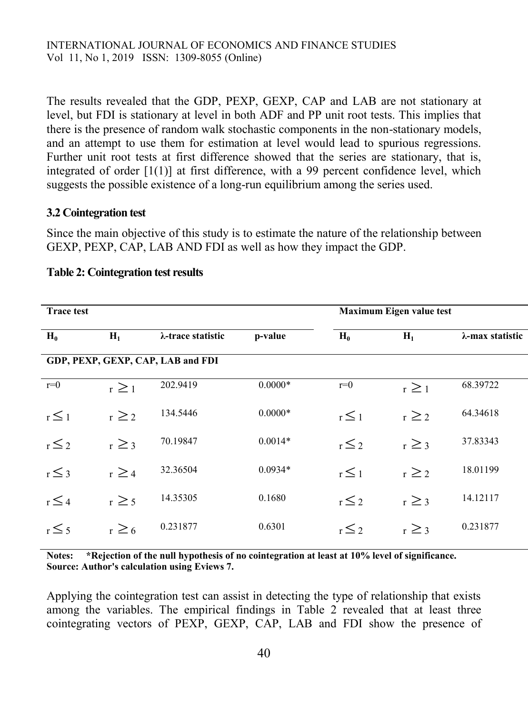The results revealed that the GDP, PEXP, GEXP, CAP and LAB are not stationary at level, but FDI is stationary at level in both ADF and PP unit root tests. This implies that there is the presence of random walk stochastic components in the non-stationary models, and an attempt to use them for estimation at level would lead to spurious regressions. Further unit root tests at first difference showed that the series are stationary, that is, integrated of order [1(1)] at first difference, with a 99 percent confidence level, which suggests the possible existence of a long-run equilibrium among the series used.

#### **3.2 Cointegration test**

Since the main objective of this study is to estimate the nature of the relationship between GEXP, PEXP, CAP, LAB AND FDI as well as how they impact the GDP.

| <b>Trace test</b> |            |                                   |           |            | <b>Maximum Eigen value test</b> |                 |
|-------------------|------------|-----------------------------------|-----------|------------|---------------------------------|-----------------|
| $H_0$             | $H_1$      | λ-trace statistic                 | p-value   | $H_0$      | $H_1$                           | λ-max statistic |
|                   |            | GDP, PEXP, GEXP, CAP, LAB and FDI |           |            |                                 |                 |
| $r=0$             | $r \geq 1$ | 202.9419                          | $0.0000*$ | $r=0$      | $r \geq 1$                      | 68.39722        |
| $r \leq 1$        | $r \geq 2$ | 134.5446                          | $0.0000*$ | $r \leq 1$ | $r \geq 2$                      | 64.34618        |
| $r \leq 2$        | $r \geq 3$ | 70.19847                          | $0.0014*$ | $r \leq 2$ | $r \geq 3$                      | 37.83343        |
| $r \leq 3$        | $r \geq 4$ | 32.36504                          | $0.0934*$ | $r \leq 1$ | $r \geq 2$                      | 18.01199        |
| $r \leq 4$        | $r \geq 5$ | 14.35305                          | 0.1680    | $r \leq 2$ | $r \geq 3$                      | 14.12117        |
| $r \leq 5$        | $r \geq 6$ | 0.231877                          | 0.6301    | $r \leq 2$ | $r \geq 3$                      | 0.231877        |
|                   |            |                                   |           |            |                                 |                 |

#### **Table 2: Cointegration test results**

**Notes: \*Rejection of the null hypothesis of no cointegration at least at 10% level of significance. Source: Author's calculation using Eviews 7.**

Applying the cointegration test can assist in detecting the type of relationship that exists among the variables. The empirical findings in Table 2 revealed that at least three cointegrating vectors of PEXP, GEXP, CAP, LAB and FDI show the presence of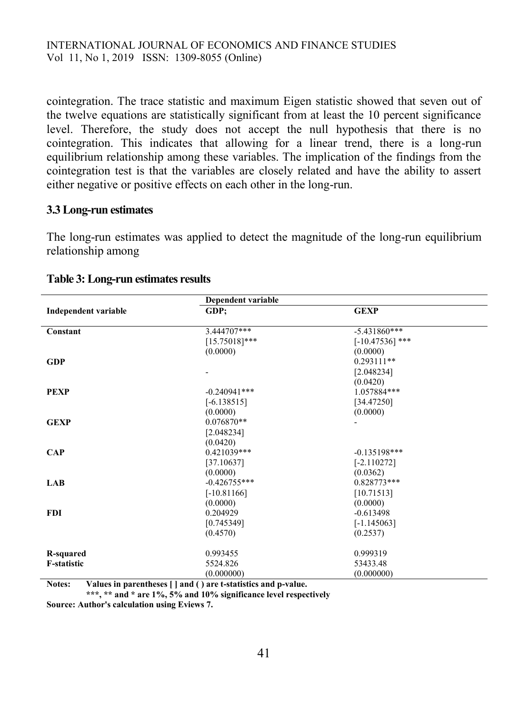cointegration. The trace statistic and maximum Eigen statistic showed that seven out of the twelve equations are statistically significant from at least the 10 percent significance level. Therefore, the study does not accept the null hypothesis that there is no cointegration. This indicates that allowing for a linear trend, there is a long-run equilibrium relationship among these variables. The implication of the findings from the cointegration test is that the variables are closely related and have the ability to assert either negative or positive effects on each other in the long-run.

#### **3.3Long-run estimates**

The long-run estimates was applied to detect the magnitude of the long-run equilibrium relationship among

|                             | <b>Dependent variable</b> |                   |  |  |
|-----------------------------|---------------------------|-------------------|--|--|
| <b>Independent variable</b> | GDP:                      | <b>GEXP</b>       |  |  |
|                             |                           |                   |  |  |
| Constant                    | 3.444707***               | $-5.431860***$    |  |  |
|                             | $[15.75018]$ ***          | $[-10.47536]$ *** |  |  |
|                             | (0.0000)                  | (0.0000)          |  |  |
| <b>GDP</b>                  |                           | $0.293111**$      |  |  |
|                             |                           | [2.048234]        |  |  |
|                             |                           | (0.0420)          |  |  |
| <b>PEXP</b>                 | $-0.240941$ ***           | 1.057884***       |  |  |
|                             | $[-6.138515]$             | [34.47250]        |  |  |
|                             | (0.0000)                  | (0.0000)          |  |  |
| <b>GEXP</b>                 | $0.076870**$              |                   |  |  |
|                             | [2.048234]                |                   |  |  |
|                             | (0.0420)                  |                   |  |  |
| <b>CAP</b>                  | 0.421039***               | $-0.135198***$    |  |  |
|                             | [37.10637]                | $[-2.110272]$     |  |  |
|                             | (0.0000)                  | (0.0362)          |  |  |
| <b>LAB</b>                  | $-0.426755***$            | $0.828773***$     |  |  |
|                             | $[-10.81166]$             | [10.71513]        |  |  |
|                             | (0.0000)                  | (0.0000)          |  |  |
| <b>FDI</b>                  | 0.204929                  | $-0.613498$       |  |  |
|                             | [0.745349]                | $[-1.145063]$     |  |  |
|                             | (0.4570)                  | (0.2537)          |  |  |
|                             |                           |                   |  |  |
| R-squared                   | 0.993455                  | 0.999319          |  |  |
| <b>F-statistic</b>          | 5524.826                  | 53433.48          |  |  |
|                             | (0.000000)                | (0.000000)        |  |  |

#### **Table 3: Long-run estimates results**

**Notes: Values in parentheses [ ] and ( ) are t-statistics and p-value.**

**\*\*\*, \*\* and \* are 1%, 5% and 10% significance level respectively**

**Source: Author's calculation using Eviews 7.**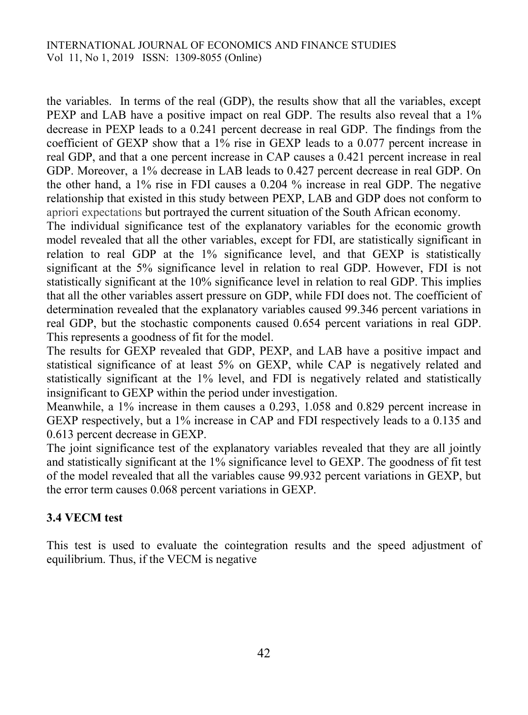the variables. In terms of the real (GDP), the results show that all the variables, except PEXP and LAB have a positive impact on real GDP. The results also reveal that a 1% decrease in PEXP leads to a 0.241 percent decrease in real GDP. The findings from the coefficient of GEXP show that a 1% rise in GEXP leads to a 0.077 percent increase in real GDP, and that a one percent increase in CAP causes a 0.421 percent increase in real GDP. Moreover, a 1% decrease in LAB leads to 0.427 percent decrease in real GDP. On the other hand, a 1% rise in FDI causes a 0.204 % increase in real GDP. The negative relationship that existed in this study between PEXP, LAB and GDP does not conform to apriori expectations but portrayed the current situation of the South African economy.

The individual significance test of the explanatory variables for the economic growth model revealed that all the other variables, except for FDI, are statistically significant in relation to real GDP at the 1% significance level, and that GEXP is statistically significant at the 5% significance level in relation to real GDP. However, FDI is not statistically significant at the 10% significance level in relation to real GDP. This implies that all the other variables assert pressure on GDP, while FDI does not. The coefficient of determination revealed that the explanatory variables caused 99.346 percent variations in real GDP, but the stochastic components caused 0.654 percent variations in real GDP. This represents a goodness of fit for the model.

The results for GEXP revealed that GDP, PEXP, and LAB have a positive impact and statistical significance of at least 5% on GEXP, while CAP is negatively related and statistically significant at the 1% level, and FDI is negatively related and statistically insignificant to GEXP within the period under investigation.

Meanwhile, a 1% increase in them causes a 0.293, 1.058 and 0.829 percent increase in GEXP respectively, but a 1% increase in CAP and FDI respectively leads to a 0.135 and 0.613 percent decrease in GEXP.

The joint significance test of the explanatory variables revealed that they are all jointly and statistically significant at the 1% significance level to GEXP. The goodness of fit test of the model revealed that all the variables cause 99.932 percent variations in GEXP, but the error term causes 0.068 percent variations in GEXP.

# **3.4 VECM test**

This test is used to evaluate the cointegration results and the speed adjustment of equilibrium. Thus, if the VECM is negative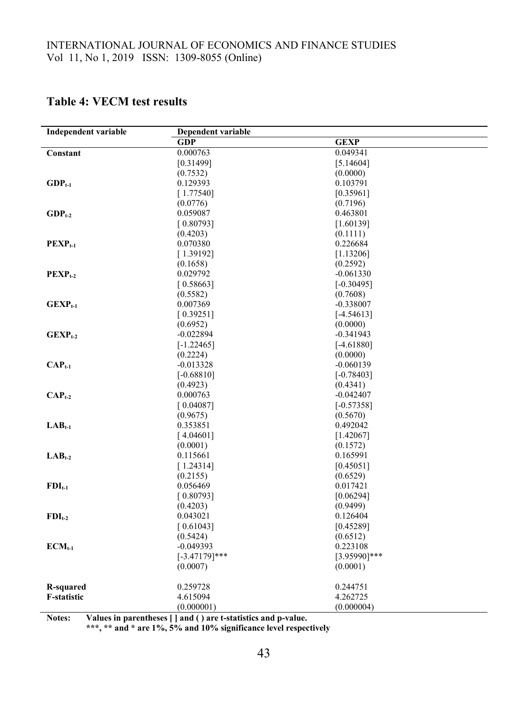# **Table 4: VECM test results**

| <b>Independent variable</b> | <b>Dependent variable</b> |                 |  |
|-----------------------------|---------------------------|-----------------|--|
|                             | <b>GDP</b>                | <b>GEXP</b>     |  |
| Constant                    | 0.000763                  | 0.049341        |  |
|                             | [0.31499]                 | [5.14604]       |  |
|                             | (0.7532)                  | (0.0000)        |  |
| $GDP_{t-1}$                 | 0.129393                  | 0.103791        |  |
|                             | [1.77540]                 | [0.35961]       |  |
|                             | (0.0776)                  | (0.7196)        |  |
| $GDP_{t-2}$                 | 0.059087                  | 0.463801        |  |
|                             | [0.80793]                 | [1.60139]       |  |
|                             | (0.4203)                  | (0.1111)        |  |
| $PEXP_{t-1}$                | 0.070380                  | 0.226684        |  |
|                             | [1.39192]                 | [1.13206]       |  |
|                             | (0.1658)                  | (0.2592)        |  |
| $PEXP_{t-2}$                | 0.029792                  | $-0.061330$     |  |
|                             | [0.58663]                 | $[-0.30495]$    |  |
|                             | (0.5582)                  | (0.7608)        |  |
| $GEXP_{t-1}$                | 0.007369                  | $-0.338007$     |  |
|                             | [0.39251]                 | $[-4.54613]$    |  |
|                             | (0.6952)                  | (0.0000)        |  |
| $GEXP_{t-2}$                | $-0.022894$               | $-0.341943$     |  |
|                             | $[-1.22465]$              | $[-4.61880]$    |  |
|                             | (0.2224)                  | (0.0000)        |  |
| $CAPt-1$                    | $-0.013328$               | $-0.060139$     |  |
|                             | $[-0.68810]$              | $[-0.78403]$    |  |
|                             | (0.4923)                  | (0.4341)        |  |
| $\text{CAP}_{t-2}$          | 0.000763                  | $-0.042407$     |  |
|                             | [0.04087]                 | $[-0.57358]$    |  |
|                             | (0.9675)                  | (0.5670)        |  |
| $LAB_{t-1}$                 | 0.353851                  | 0.492042        |  |
|                             | [4.04601]                 | [1.42067]       |  |
|                             | (0.0001)                  | (0.1572)        |  |
| $LAB_{t-2}$                 | 0.115661                  | 0.165991        |  |
|                             | [1.24314]                 | [0.45051]       |  |
|                             | (0.2155)                  | (0.6529)        |  |
| $FDI_{t-1}$                 | 0.056469                  | 0.017421        |  |
|                             | [0.80793]                 | [0.06294]       |  |
|                             | (0.4203)                  | (0.9499)        |  |
| $FDI_{t-2}$                 | 0.043021                  | 0.126404        |  |
|                             | [0.61043]                 | [0.45289]       |  |
|                             | (0.5424)                  | (0.6512)        |  |
| $ECM_{t-1}$                 | $-0.049393$               | 0.223108        |  |
|                             | $[-3.47179]$ ***          | $[3.95990]$ *** |  |
|                             | (0.0007)                  | (0.0001)        |  |
| <b>R-squared</b>            | 0.259728                  | 0.244751        |  |
| F-statistic                 | 4.615094                  | 4.262725        |  |
|                             | (0.000001)                | (0.000004)      |  |

**Notes: Values in parentheses [ ] and ( ) are t-statistics and p-value.**

**\*\*\*, \*\* and \* are 1%, 5% and 10% significance level respectively**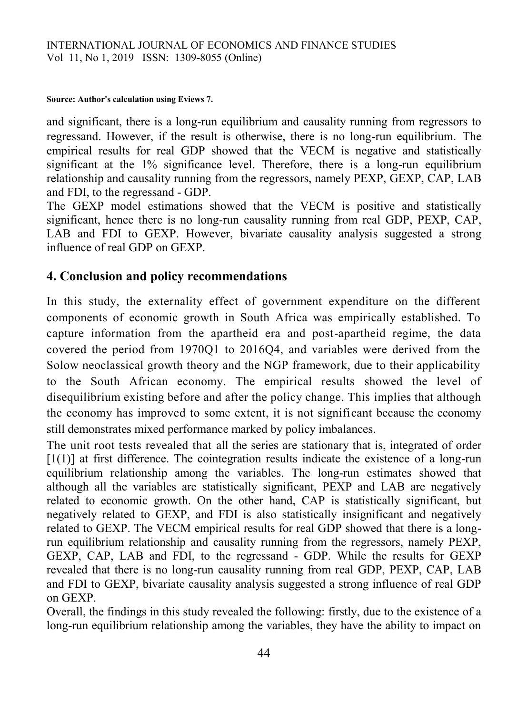#### **Source: Author's calculation using Eviews 7.**

and significant, there is a long-run equilibrium and causality running from regressors to regressand. However, if the result is otherwise, there is no long-run equilibrium. The empirical results for real GDP showed that the VECM is negative and statistically significant at the 1% significance level. Therefore, there is a long-run equilibrium relationship and causality running from the regressors, namely PEXP, GEXP, CAP, LAB and FDI, to the regressand - GDP.

The GEXP model estimations showed that the VECM is positive and statistically significant, hence there is no long-run causality running from real GDP, PEXP, CAP, LAB and FDI to GEXP. However, bivariate causality analysis suggested a strong influence of real GDP on GEXP.

# **4. Conclusion and policy recommendations**

In this study, the externality effect of government expenditure on the different components of economic growth in South Africa was empirically established. To capture information from the apartheid era and post-apartheid regime, the data covered the period from 1970Q1 to 2016Q4, and variables were derived from the Solow neoclassical growth theory and the NGP framework, due to their applicability to the South African economy. The empirical results showed the level of disequilibrium existing before and after the policy change. This implies that although the economy has improved to some extent, it is not significant because the economy still demonstrates mixed performance marked by policy imbalances.

The unit root tests revealed that all the series are stationary that is, integrated of order [1(1)] at first difference. The cointegration results indicate the existence of a long-run equilibrium relationship among the variables. The long-run estimates showed that although all the variables are statistically significant, PEXP and LAB are negatively related to economic growth. On the other hand, CAP is statistically significant, but negatively related to GEXP, and FDI is also statistically insignificant and negatively related to GEXP. The VECM empirical results for real GDP showed that there is a longrun equilibrium relationship and causality running from the regressors, namely PEXP, GEXP, CAP, LAB and FDI, to the regressand - GDP. While the results for GEXP revealed that there is no long-run causality running from real GDP, PEXP, CAP, LAB and FDI to GEXP, bivariate causality analysis suggested a strong influence of real GDP on GEXP.

Overall, the findings in this study revealed the following: firstly, due to the existence of a long-run equilibrium relationship among the variables, they have the ability to impact on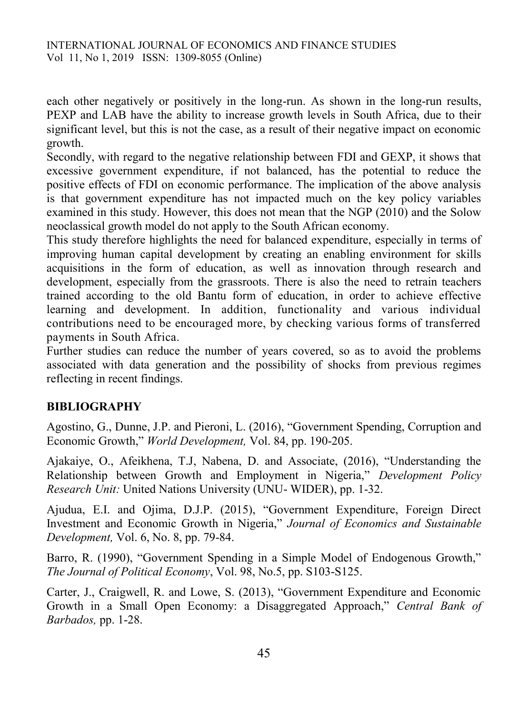each other negatively or positively in the long-run. As shown in the long-run results, PEXP and LAB have the ability to increase growth levels in South Africa, due to their significant level, but this is not the case, as a result of their negative impact on economic growth.

Secondly, with regard to the negative relationship between FDI and GEXP, it shows that excessive government expenditure, if not balanced, has the potential to reduce the positive effects of FDI on economic performance. The implication of the above analysis is that government expenditure has not impacted much on the key policy variables examined in this study. However, this does not mean that the NGP (2010) and the Solow neoclassical growth model do not apply to the South African economy.

This study therefore highlights the need for balanced expenditure, especially in terms of improving human capital development by creating an enabling environment for skills acquisitions in the form of education, as well as innovation through research and development, especially from the grassroots. There is also the need to retrain teachers trained according to the old Bantu form of education, in order to achieve effective learning and development. In addition, functionality and various individual contributions need to be encouraged more, by checking various forms of transferred payments in South Africa.

Further studies can reduce the number of years covered, so as to avoid the problems associated with data generation and the possibility of shocks from previous regimes reflecting in recent findings.

# **BIBLIOGRAPHY**

Agostino, G., Dunne, J.P. and Pieroni, L. (2016), "Government Spending, Corruption and Economic Growth," *World Development,* Vol. 84, pp. 190-205.

Ajakaiye, O., Afeikhena, T.J, Nabena, D. and Associate, (2016), "Understanding the Relationship between Growth and Employment in Nigeria," *Development Policy Research Unit:* United Nations University (UNU- WIDER), pp. 1-32.

Ajudua, E.I. and Ojima, D.J.P. (2015), "Government Expenditure, Foreign Direct Investment and Economic Growth in Nigeria," *Journal of Economics and Sustainable Development,* Vol. 6, No. 8, pp. 79-84.

Barro, R. (1990), "Government Spending in a Simple Model of Endogenous Growth," *The Journal of Political Economy*, Vol. 98, No.5, pp. S103-S125.

Carter, J., Craigwell, R. and Lowe, S. (2013), "Government Expenditure and Economic Growth in a Small Open Economy: a Disaggregated Approach," *Central Bank of Barbados,* pp. 1-28.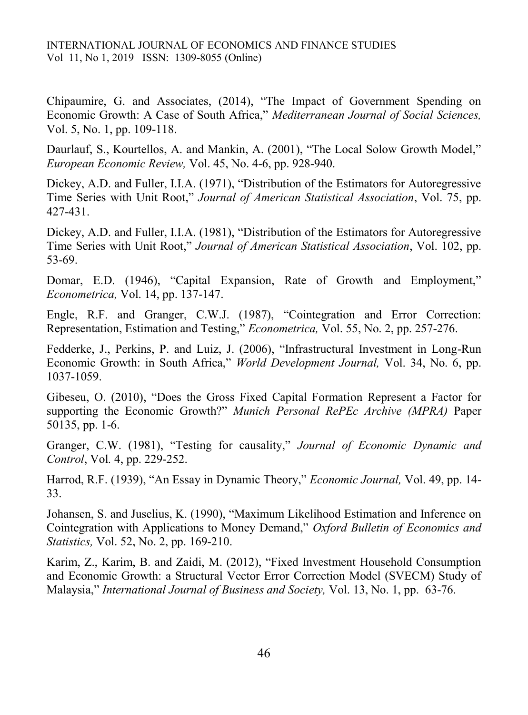Chipaumire, G. and Associates, (2014), "The Impact of Government Spending on Economic Growth: A Case of South Africa," *Mediterranean Journal of Social Sciences,* Vol. 5, No. 1, pp. 109-118.

Daurlauf, S., Kourtellos, A. and Mankin, A. (2001), "The Local Solow Growth Model," *European Economic Review,* Vol. 45, No. 4-6, pp. 928-940.

Dickey, A.D. and Fuller, I.I.A. (1971), "Distribution of the Estimators for Autoregressive Time Series with Unit Root," *Journal of American Statistical Association*, Vol. 75, pp. 427-431.

Dickey, A.D. and Fuller, I.I.A. (1981), "Distribution of the Estimators for Autoregressive Time Series with Unit Root," *Journal of American Statistical Association*, Vol. 102, pp. 53-69.

Domar, E.D. (1946), "Capital Expansion, Rate of Growth and Employment," *Econometrica,* Vol. 14, pp. 137-147.

Engle, R.F. and Granger, C.W.J. (1987), "Cointegration and Error Correction: Representation, Estimation and Testing," *Econometrica,* Vol. 55, No. 2, pp. 257-276.

Fedderke, J., Perkins, P. and Luiz, J. (2006), "Infrastructural Investment in Long-Run Economic Growth: in South Africa," *World Development Journal,* Vol. 34, No. 6, pp. 1037-1059.

Gibeseu, O. (2010), "Does the Gross Fixed Capital Formation Represent a Factor for supporting the Economic Growth?" *Munich Personal RePEc Archive (MPRA)* Paper 50135, pp. 1-6.

Granger, C.W. (1981), "Testing for causality," *Journal of Economic Dynamic and Control*, Vol*.* 4, pp. 229-252.

Harrod, R.F. (1939), "An Essay in Dynamic Theory," *Economic Journal,* Vol. 49, pp. 14- 33.

Johansen, S. and Juselius, K. (1990), "Maximum Likelihood Estimation and Inference on Cointegration with Applications to Money Demand," *Oxford Bulletin of Economics and Statistics,* Vol. 52, No. 2, pp. 169-210.

Karim, Z., Karim, B. and Zaidi, M. (2012), "Fixed Investment Household Consumption and Economic Growth: a Structural Vector Error Correction Model (SVECM) Study of Malaysia," *International Journal of Business and Society,* Vol. 13, No. 1, pp. 63-76.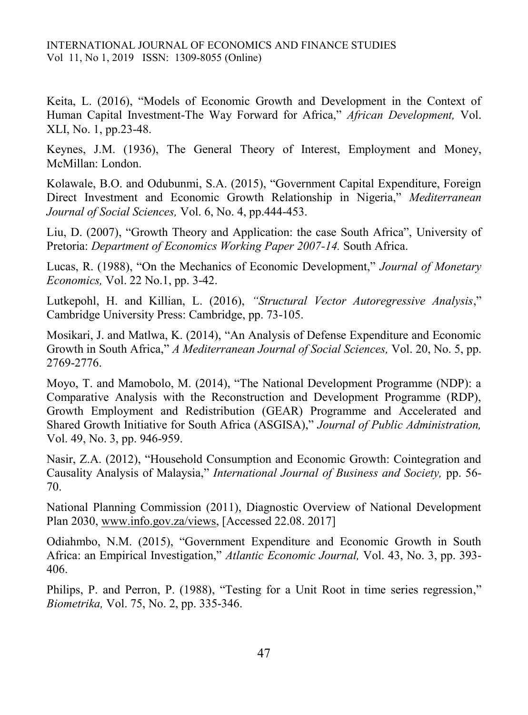Keita, L. (2016), "Models of Economic Growth and Development in the Context of Human Capital Investment-The Way Forward for Africa," *African Development,* Vol. XLI, No. 1, pp.23-48.

Keynes, J.M. (1936), The General Theory of Interest, Employment and Money, McMillan: London.

Kolawale, B.O. and Odubunmi, S.A. (2015), "Government Capital Expenditure, Foreign Direct Investment and Economic Growth Relationship in Nigeria," *Mediterranean Journal of Social Sciences,* Vol. 6, No. 4, pp.444-453.

Liu, D. (2007), "Growth Theory and Application: the case South Africa", University of Pretoria: *Department of Economics Working Paper 2007-14.* South Africa.

Lucas, R. (1988), "On the Mechanics of Economic Development," *Journal of Monetary Economics,* Vol. 22 No.1, pp. 3-42.

Lutkepohl, H. and Killian, L. (2016), *"Structural Vector Autoregressive Analysis*," Cambridge University Press: Cambridge, pp. 73-105.

Mosikari, J. and Matlwa, K. (2014), "An Analysis of Defense Expenditure and Economic Growth in South Africa," *A Mediterranean Journal of Social Sciences,* Vol. 20, No. 5, pp. 2769-2776.

Moyo, T. and Mamobolo, M. (2014), "The National Development Programme (NDP): a Comparative Analysis with the Reconstruction and Development Programme (RDP), Growth Employment and Redistribution (GEAR) Programme and Accelerated and Shared Growth Initiative for South Africa (ASGISA)," *Journal of Public Administration,*  Vol. 49, No. 3, pp. 946-959.

Nasir, Z.A. (2012), "Household Consumption and Economic Growth: Cointegration and Causality Analysis of Malaysia," *International Journal of Business and Society,* pp. 56- 70.

National Planning Commission (2011), Diagnostic Overview of National Development Plan 2030, [www.info.gov.za/views,](http://www.info.gov.za/views) [Accessed 22.08. 2017]

Odiahmbo, N.M. (2015), "Government Expenditure and Economic Growth in South Africa: an Empirical Investigation," *Atlantic Economic Journal,* Vol. 43, No. 3, pp. 393- 406.

Philips, P. and Perron, P. (1988), "Testing for a Unit Root in time series regression," *Biometrika,* Vol. 75, No. 2, pp. 335-346.